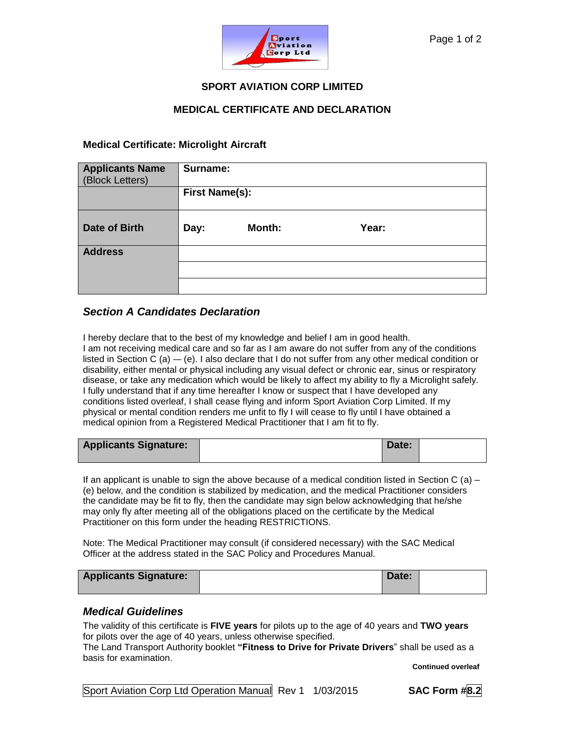

## **SPORT AVIATION CORP LIMITED**

## **MEDICAL CERTIFICATE AND DECLARATION**

### **Medical Certificate: Microlight Aircraft**

| <b>Applicants Name</b><br>(Block Letters) | Surname:              |               |       |  |
|-------------------------------------------|-----------------------|---------------|-------|--|
|                                           | <b>First Name(s):</b> |               |       |  |
| <b>Date of Birth</b>                      | Day:                  | <b>Month:</b> | Year: |  |
| <b>Address</b>                            |                       |               |       |  |
|                                           |                       |               |       |  |
|                                           |                       |               |       |  |

# *Section A Candidates Declaration*

I hereby declare that to the best of my knowledge and belief I am in good health.

I am not receiving medical care and so far as I am aware do not suffer from any of the conditions listed in Section C (a) -– (e). I also declare that I do not suffer from any other medical condition or disability, either mental or physical including any visual defect or chronic ear, sinus or respiratory disease, or take any medication which would be likely to affect my ability to fly a Microlight safely. I fully understand that if any time hereafter I know or suspect that I have developed any conditions listed overleaf, I shall cease flying and inform Sport Aviation Corp Limited. If my physical or mental condition renders me unfit to fly I will cease to fly until I have obtained a medical opinion from a Registered Medical Practitioner that I am fit to fly.

| <b>Applicants Signature:</b> | Date: |  |
|------------------------------|-------|--|
|------------------------------|-------|--|

If an applicant is unable to sign the above because of a medical condition listed in Section C (a) – (e) below, and the condition is stabilized by medication, and the medical Practitioner considers the candidate may be fit to fly, then the candidate may sign below acknowledging that he/she may only fly after meeting all of the obligations placed on the certificate by the Medical Practitioner on this form under the heading RESTRICTIONS.

Note: The Medical Practitioner may consult (if considered necessary) with the SAC Medical Officer at the address stated in the SAC Policy and Procedures Manual.

| <b>Applicants Signature:</b> | Date: |  |
|------------------------------|-------|--|
|                              |       |  |

## *Medical Guidelines*

The validity of this certificate is **FIVE years** for pilots up to the age of 40 years and **TWO years** for pilots over the age of 40 years, unless otherwise specified.

The Land Transport Authority booklet **"Fitness to Drive for Private Drivers**" shall be used as a basis for examination.

**Continued overleaf**